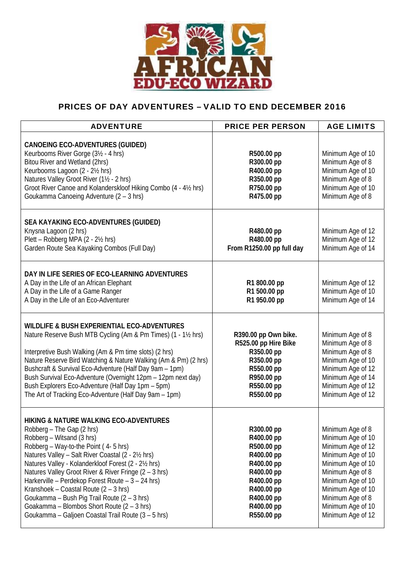

## PRICES OF DAY ADVENTURES – VALID TO END DECEMBER 2016

| <b>ADVENTURE</b>                                                                                                                                                                                                                                                                                                                                                                                                                                                                                                                                                        | <b>PRICE PER PERSON</b>                                                                                                                                | <b>AGE LIMITS</b>                                                                                                                                                                                                                |
|-------------------------------------------------------------------------------------------------------------------------------------------------------------------------------------------------------------------------------------------------------------------------------------------------------------------------------------------------------------------------------------------------------------------------------------------------------------------------------------------------------------------------------------------------------------------------|--------------------------------------------------------------------------------------------------------------------------------------------------------|----------------------------------------------------------------------------------------------------------------------------------------------------------------------------------------------------------------------------------|
| <b>CANOEING ECO-ADVENTURES (GUIDED)</b><br>Keurbooms River Gorge (3½ - 4 hrs)<br>Bitou River and Wetland (2hrs)<br>Keurbooms Lagoon (2 - 21/2 hrs)<br>Natures Valley Groot River (11/2 - 2 hrs)<br>Groot River Canoe and Kolanderskloof Hiking Combo (4 - 41/2 hrs)<br>Goukamma Canoeing Adventure (2 - 3 hrs)                                                                                                                                                                                                                                                          | R500.00 pp<br>R300.00 pp<br>R400.00 pp<br>R350.00 pp<br>R750.00 pp<br>R475.00 pp                                                                       | Minimum Age of 10<br>Minimum Age of 8<br>Minimum Age of 10<br>Minimum Age of 8<br>Minimum Age of 10<br>Minimum Age of 8                                                                                                          |
| SEA KAYAKING ECO-ADVENTURES (GUIDED)<br>Knysna Lagoon (2 hrs)<br>Plett - Robberg MPA (2 - 2½ hrs)<br>Garden Route Sea Kayaking Combos (Full Day)                                                                                                                                                                                                                                                                                                                                                                                                                        | R480.00 pp<br>R480.00 pp<br>From R1250.00 pp full day                                                                                                  | Minimum Age of 12<br>Minimum Age of 12<br>Minimum Age of 14                                                                                                                                                                      |
| DAY IN LIFE SERIES OF ECO-LEARNING ADVENTURES<br>A Day in the Life of an African Elephant<br>A Day in the Life of a Game Ranger<br>A Day in the Life of an Eco-Adventurer                                                                                                                                                                                                                                                                                                                                                                                               | R1 800.00 pp<br>R1 500.00 pp<br>R1 950.00 pp                                                                                                           | Minimum Age of 12<br>Minimum Age of 10<br>Minimum Age of 14                                                                                                                                                                      |
| WILDLIFE & BUSH EXPERIENTIAL ECO-ADVENTURES<br>Nature Reserve Bush MTB Cycling (Am & Pm Times) (1 - 1½ hrs)<br>Interpretive Bush Walking (Am & Pm time slots) (2 hrs)<br>Nature Reserve Bird Watching & Nature Walking (Am & Pm) (2 hrs)<br>Bushcraft & Survival Eco-Adventure (Half Day 9am - 1pm)<br>Bush Survival Eco-Adventure (Overnight 12pm - 12pm next day)<br>Bush Explorers Eco-Adventure (Half Day 1pm - 5pm)<br>The Art of Tracking Eco-Adventure (Half Day 9am - 1pm)                                                                                      | R390.00 pp Own bike.<br>R525.00 pp Hire Bike<br>R350.00 pp<br>R350.00 pp<br>R550.00 pp<br>R950.00 pp<br>R550.00 pp<br>R550.00 pp                       | Minimum Age of 8<br>Minimum Age of 8<br>Minimum Age of 8<br>Minimum Age of 10<br>Minimum Age of 12<br>Minimum Age of 14<br>Minimum Age of 12<br>Minimum Age of 12                                                                |
| <b>HIKING &amp; NATURE WALKING ECO-ADVENTURES</b><br>Robberg – The Gap (2 hrs)<br>Robberg - Witsand (3 hrs)<br>Robberg - Way-to-the Point (4-5 hrs)<br>Natures Valley - Salt River Coastal (2 - 2½ hrs)<br>Natures Valley - Kolanderkloof Forest (2 - 2½ hrs)<br>Natures Valley Groot River & River Fringe (2 - 3 hrs)<br>Harkerville - Perdekop Forest Route - 3 - 24 hrs)<br>Kranshoek - Coastal Route (2 - 3 hrs)<br>Goukamma - Bush Pig Trail Route (2 - 3 hrs)<br>Goakamma - Blombos Short Route (2 - 3 hrs)<br>Goukamma - Galjoen Coastal Trail Route (3 - 5 hrs) | R300.00 pp<br>R400.00 pp<br>R500.00 pp<br>R400.00 pp<br>R400.00 pp<br>R400.00 pp<br>R400.00 pp<br>R400.00 pp<br>R400.00 pp<br>R400.00 pp<br>R550.00 pp | Minimum Age of 8<br>Minimum Age of 10<br>Minimum Age of 12<br>Minimum Age of 10<br>Minimum Age of 10<br>Minimum Age of 8<br>Minimum Age of 10<br>Minimum Age of 10<br>Minimum Age of 8<br>Minimum Age of 10<br>Minimum Age of 12 |